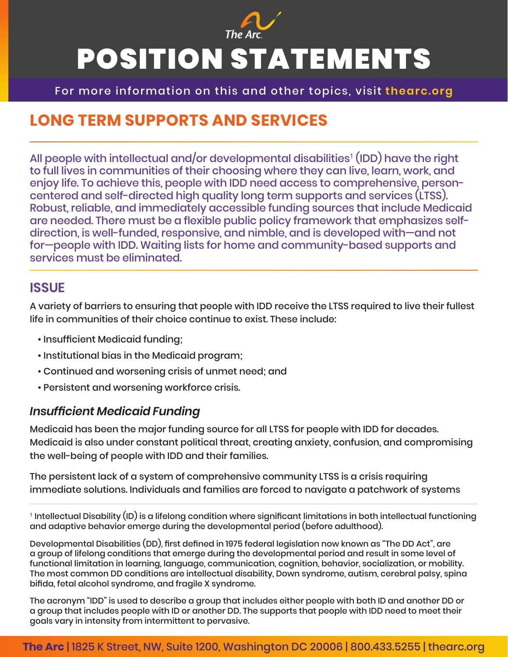

For more information on this and other topics, visit **thearc.org**

# **LONG TERM SUPPORTS AND SERVICES**

All people with intellectual and/or developmental disabilities<sup>1</sup> (IDD) have the right to full lives in communities of their choosing where they can live, learn, work, and enjoy life. To achieve this, people with IDD need access to comprehensive, personcentered and self-directed high quality long term supports and services (LTSS). Robust, reliable, and immediately accessible funding sources that include Medicaid are needed. There must be a flexible public policy framework that emphasizes selfdirection, is well-funded, responsive, and nimble, and is developed with—and not for—people with IDD. Waiting lists for home and community-based supports and services must be eliminated.

#### **ISSUE**

A variety of barriers to ensuring that people with IDD receive the LTSS required to live their fullest life in communities of their choice continue to exist. These include:

- Insufficient Medicaid funding;
- Institutional bias in the Medicaid program;
- Continued and worsening crisis of unmet need; and
- Persistent and worsening workforce crisis.

#### *Insufficient Medicaid Funding*

Medicaid has been the major funding source for all LTSS for people with IDD for decades. Medicaid is also under constant political threat, creating anxiety, confusion, and compromising the well-being of people with IDD and their families.

The persistent lack of a system of comprehensive community LTSS is a crisis requiring immediate solutions. Individuals and families are forced to navigate a patchwork of systems

1 Intellectual Disability (ID) is a lifelong condition where significant limitations in both intellectual functioning and adaptive behavior emerge during the developmental period (before adulthood).

Developmental Disabilities (DD), first defined in 1975 federal legislation now known as "The DD Act", are a group of lifelong conditions that emerge during the developmental period and result in some level of functional limitation in learning, language, communication, cognition, behavior, socialization, or mobility. The most common DD conditions are intellectual disability, Down syndrome, autism, cerebral palsy, spina bifida, fetal alcohol syndrome, and fragile X syndrome.

The acronym "IDD" is used to describe a group that includes either people with both ID and another DD or a group that includes people with ID or another DD. The supports that people with IDD need to meet their goals vary in intensity from intermittent to pervasive.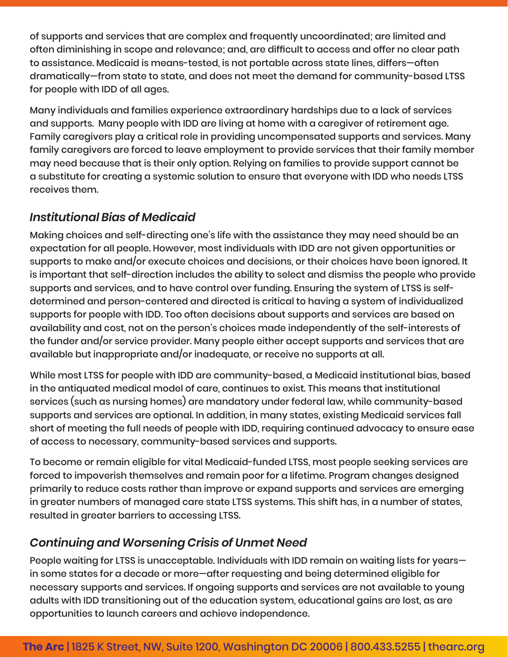of supports and services that are complex and frequently uncoordinated; are limited and often diminishing in scope and relevance; and, are difficult to access and offer no clear path to assistance. Medicaid is means-tested, is not portable across state lines, differs—often dramatically—from state to state, and does not meet the demand for community-based LTSS for people with IDD of all ages.

Many individuals and families experience extraordinary hardships due to a lack of services and supports. Many people with IDD are living at home with a caregiver of retirement age. Family caregivers play a critical role in providing uncompensated supports and services. Many family caregivers are forced to leave employment to provide services that their family member may need because that is their only option. Relying on families to provide support cannot be a substitute for creating a systemic solution to ensure that everyone with IDD who needs LTSS receives them.

#### *Institutional Bias of Medicaid*

Making choices and self-directing one's life with the assistance they may need should be an expectation for all people. However, most individuals with IDD are not given opportunities or supports to make and/or execute choices and decisions, or their choices have been ignored. It is important that self-direction includes the ability to select and dismiss the people who provide supports and services, and to have control over funding. Ensuring the system of LTSS is selfdetermined and person-centered and directed is critical to having a system of individualized supports for people with IDD. Too often decisions about supports and services are based on availability and cost, not on the person's choices made independently of the self-interests of the funder and/or service provider. Many people either accept supports and services that are available but inappropriate and/or inadequate, or receive no supports at all.

While most LTSS for people with IDD are community-based, a Medicaid institutional bias, based in the antiquated medical model of care, continues to exist. This means that institutional services (such as nursing homes) are mandatory under federal law, while community-based supports and services are optional. In addition, in many states, existing Medicaid services fall short of meeting the full needs of people with IDD, requiring continued advocacy to ensure ease of access to necessary, community-based services and supports.

To become or remain eligible for vital Medicaid-funded LTSS, most people seeking services are forced to impoverish themselves and remain poor for a lifetime. Program changes designed primarily to reduce costs rather than improve or expand supports and services are emerging in greater numbers of managed care state LTSS systems. This shift has, in a number of states, resulted in greater barriers to accessing LTSS.

# *Continuing and Worsening Crisis of Unmet Need*

People waiting for LTSS is unacceptable. Individuals with IDD remain on waiting lists for years in some states for a decade or more—after requesting and being determined eligible for necessary supports and services. If ongoing supports and services are not available to young adults with IDD transitioning out of the education system, educational gains are lost, as are opportunities to launch careers and achieve independence.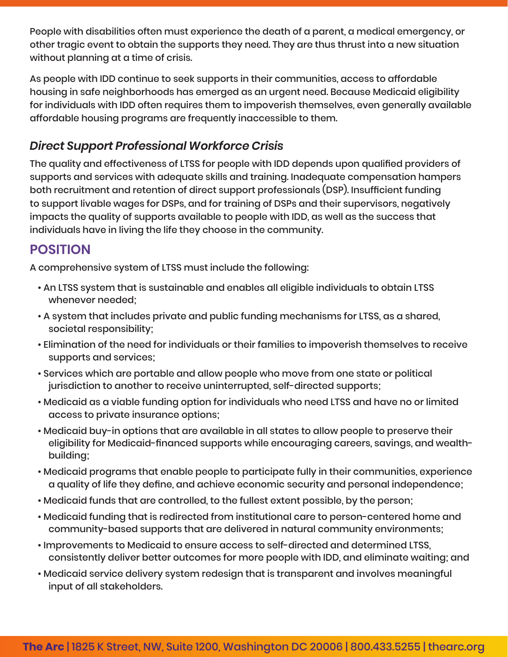People with disabilities often must experience the death of a parent, a medical emergency, or other tragic event to obtain the supports they need. They are thus thrust into a new situation without planning at a time of crisis.

As people with IDD continue to seek supports in their communities, access to affordable housing in safe neighborhoods has emerged as an urgent need. Because Medicaid eligibility for individuals with IDD often requires them to impoverish themselves, even generally available affordable housing programs are frequently inaccessible to them.

#### *Direct Support Professional Workforce Crisis*

The quality and effectiveness of LTSS for people with IDD depends upon qualified providers of supports and services with adequate skills and training. Inadequate compensation hampers both recruitment and retention of direct support professionals (DSP). Insufficient funding to support livable wages for DSPs, and for training of DSPs and their supervisors, negatively impacts the quality of supports available to people with IDD, as well as the success that individuals have in living the life they choose in the community.

# **POSITION**

A comprehensive system of LTSS must include the following:

- An LTSS system that is sustainable and enables all eligible individuals to obtain LTSS whenever needed;
- A system that includes private and public funding mechanisms for LTSS, as a shared, societal responsibility;
- Elimination of the need for individuals or their families to impoverish themselves to receive supports and services;
- Services which are portable and allow people who move from one state or political jurisdiction to another to receive uninterrupted, self-directed supports;
- Medicaid as a viable funding option for individuals who need LTSS and have no or limited access to private insurance options;
- Medicaid buy-in options that are available in all states to allow people to preserve their eligibility for Medicaid-financed supports while encouraging careers, savings, and wealthbuilding;
- Medicaid programs that enable people to participate fully in their communities, experience a quality of life they define, and achieve economic security and personal independence;
- Medicaid funds that are controlled, to the fullest extent possible, by the person;
- Medicaid funding that is redirected from institutional care to person-centered home and community-based supports that are delivered in natural community environments;
- Improvements to Medicaid to ensure access to self-directed and determined LTSS, consistently deliver better outcomes for more people with IDD, and eliminate waiting; and
- Medicaid service delivery system redesign that is transparent and involves meaningful input of all stakeholders.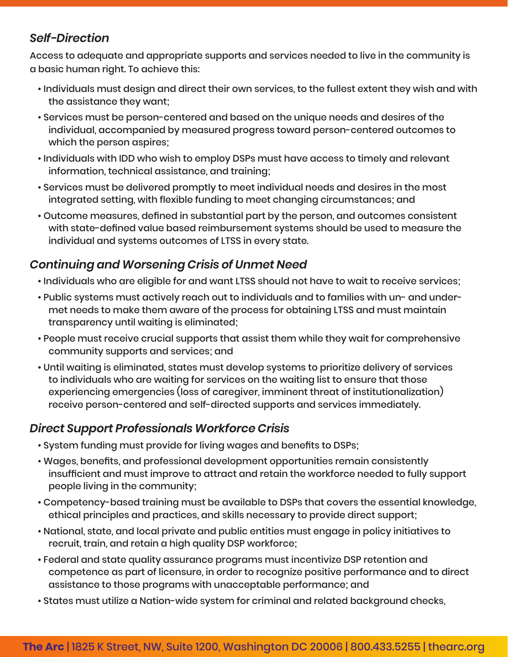#### *Self-Direction*

Access to adequate and appropriate supports and services needed to live in the community is a basic human right. To achieve this:

- Individuals must design and direct their own services, to the fullest extent they wish and with the assistance they want;
- Services must be person-centered and based on the unique needs and desires of the individual, accompanied by measured progress toward person-centered outcomes to which the person aspires;
- Individuals with IDD who wish to employ DSPs must have access to timely and relevant information, technical assistance, and training;
- Services must be delivered promptly to meet individual needs and desires in the most integrated setting, with flexible funding to meet changing circumstances; and
- Outcome measures, defined in substantial part by the person, and outcomes consistent with state-defined value based reimbursement systems should be used to measure the individual and systems outcomes of LTSS in every state.

# *Continuing and Worsening Crisis of Unmet Need*

- Individuals who are eligible for and want LTSS should not have to wait to receive services;
- Public systems must actively reach out to individuals and to families with un- and undermet needs to make them aware of the process for obtaining LTSS and must maintain transparency until waiting is eliminated;
- People must receive crucial supports that assist them while they wait for comprehensive community supports and services; and
- Until waiting is eliminated, states must develop systems to prioritize delivery of services to individuals who are waiting for services on the waiting list to ensure that those experiencing emergencies (loss of caregiver, imminent threat of institutionalization) receive person-centered and self-directed supports and services immediately.

# *Direct Support Professionals Workforce Crisis*

- System funding must provide for living wages and benefits to DSPs;
- Wages, benefits, and professional development opportunities remain consistently insufficient and must improve to attract and retain the workforce needed to fully support people living in the community;
- Competency-based training must be available to DSPs that covers the essential knowledge, ethical principles and practices, and skills necessary to provide direct support;
- National, state, and local private and public entities must engage in policy initiatives to recruit, train, and retain a high quality DSP workforce;
- Federal and state quality assurance programs must incentivize DSP retention and competence as part of licensure, in order to recognize positive performance and to direct assistance to those programs with unacceptable performance; and
- States must utilize a Nation-wide system for criminal and related background checks,